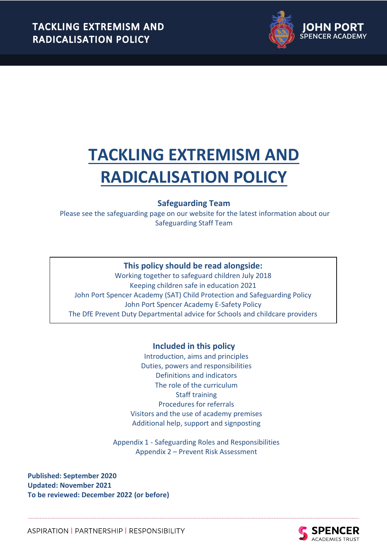

# **Safeguarding Team**

Please see the safeguarding page on our website for the latest information about our Safeguarding Staff Team

# **This policy should be read alongside:**

Working together to safeguard children July 2018 Keeping children safe in education 2021 John Port Spencer Academy (SAT) Child Protection and Safeguarding Policy John Port Spencer Academy E-Safety Policy The DfE Prevent Duty Departmental advice for Schools and childcare providers

## **Included in this policy**

Introduction, aims and principles Duties, powers and responsibilities Definitions and indicators The role of the curriculum Staff training Procedures for referrals Visitors and the use of academy premises Additional help, support and signposting

Appendix 1 - Safeguarding Roles and Responsibilities Appendix 2 – Prevent Risk Assessment

**Published: September 2020 Updated: November 2021 To be reviewed: December 2022 (or before)**

> **SPENCER** ACADEMIES TRUST

ASPIRATION | PARTNERSHIP | RESPONSIBILITY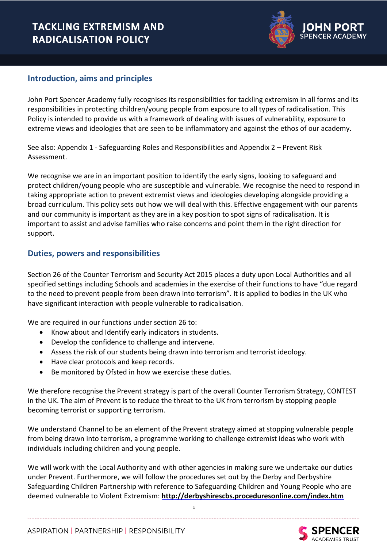

# **Introduction, aims and principles**

John Port Spencer Academy fully recognises its responsibilities for tackling extremism in all forms and its responsibilities in protecting children/young people from exposure to all types of radicalisation. This Policy is intended to provide us with a framework of dealing with issues of vulnerability, exposure to extreme views and ideologies that are seen to be inflammatory and against the ethos of our academy.

See also: Appendix 1 - Safeguarding Roles and Responsibilities and Appendix 2 – Prevent Risk Assessment.

We recognise we are in an important position to identify the early signs, looking to safeguard and protect children/young people who are susceptible and vulnerable. We recognise the need to respond in taking appropriate action to prevent extremist views and ideologies developing alongside providing a broad curriculum. This policy sets out how we will deal with this. Effective engagement with our parents and our community is important as they are in a key position to spot signs of radicalisation. It is important to assist and advise families who raise concerns and point them in the right direction for support.

## **Duties, powers and responsibilities**

Section 26 of the Counter Terrorism and Security Act 2015 places a duty upon Local Authorities and all specified settings including Schools and academies in the exercise of their functions to have "due regard to the need to prevent people from been drawn into terrorism". It is applied to bodies in the UK who have significant interaction with people vulnerable to radicalisation.

We are required in our functions under section 26 to:

- Know about and Identify early indicators in students.
- Develop the confidence to challenge and intervene.
- Assess the risk of our students being drawn into terrorism and terrorist ideology.
- Have clear protocols and keep records.
- Be monitored by Ofsted in how we exercise these duties.

We therefore recognise the Prevent strategy is part of the overall Counter Terrorism Strategy, CONTEST in the UK. The aim of Prevent is to reduce the threat to the UK from terrorism by stopping people becoming terrorist or supporting terrorism.

We understand Channel to be an element of the Prevent strategy aimed at stopping vulnerable people from being drawn into terrorism, a programme working to challenge extremist ideas who work with individuals including children and young people.

We will work with the Local Authority and with other agencies in making sure we undertake our duties under Prevent. Furthermore, we will follow the procedures set out by the Derby and Derbyshire Safeguarding Children Partnership with reference to Safeguarding Children and Young People who are deemed vulnerable to Violent Extremism: **<http://derbyshirescbs.proceduresonline.com/index.htm>**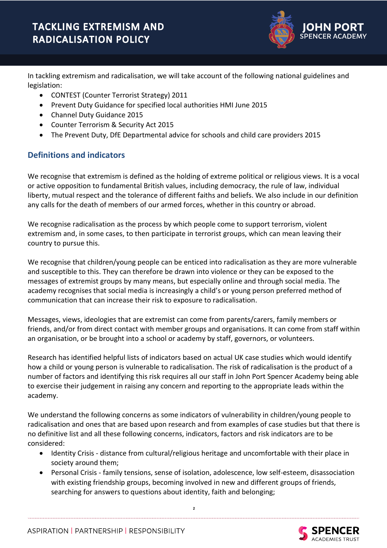

In tackling extremism and radicalisation, we will take account of the following national guidelines and legislation:

- CONTEST (Counter Terrorist Strategy) 2011
- Prevent Duty Guidance for specified local authorities HMI June 2015
- Channel Duty Guidance 2015
- Counter Terrorism & Security Act 2015
- The Prevent Duty, DfE Departmental advice for schools and child care providers 2015

# **Definitions and indicators**

We recognise that extremism is defined as the holding of extreme political or religious views. It is a vocal or active opposition to fundamental British values, including democracy, the rule of law, individual liberty, mutual respect and the tolerance of different faiths and beliefs. We also include in our definition any calls for the death of members of our armed forces, whether in this country or abroad.

We recognise radicalisation as the process by which people come to support terrorism, violent extremism and, in some cases, to then participate in terrorist groups, which can mean leaving their country to pursue this.

We recognise that children/young people can be enticed into radicalisation as they are more vulnerable and susceptible to this. They can therefore be drawn into violence or they can be exposed to the messages of extremist groups by many means, but especially online and through social media. The academy recognises that social media is increasingly a child's or young person preferred method of communication that can increase their risk to exposure to radicalisation.

Messages, views, ideologies that are extremist can come from parents/carers, family members or friends, and/or from direct contact with member groups and organisations. It can come from staff within an organisation, or be brought into a school or academy by staff, governors, or volunteers.

Research has identified helpful lists of indicators based on actual UK case studies which would identify how a child or young person is vulnerable to radicalisation. The risk of radicalisation is the product of a number of factors and identifying this risk requires all our staff in John Port Spencer Academy being able to exercise their judgement in raising any concern and reporting to the appropriate leads within the academy.

We understand the following concerns as some indicators of vulnerability in children/young people to radicalisation and ones that are based upon research and from examples of case studies but that there is no definitive list and all these following concerns, indicators, factors and risk indicators are to be considered:

- Identity Crisis distance from cultural/religious heritage and uncomfortable with their place in society around them;
- Personal Crisis family tensions, sense of isolation, adolescence, low self-esteem, disassociation with existing friendship groups, becoming involved in new and different groups of friends, searching for answers to questions about identity, faith and belonging;

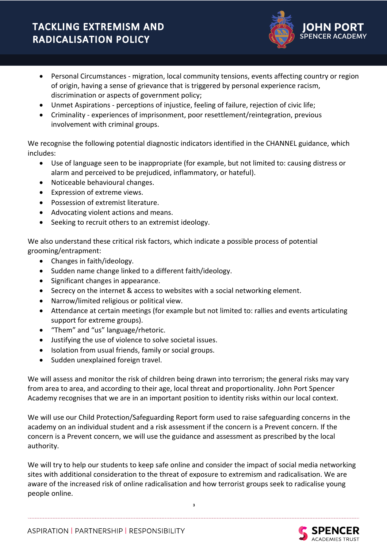- Personal Circumstances migration, local community tensions, events affecting country or region of origin, having a sense of grievance that is triggered by personal experience racism, discrimination or aspects of government policy;
- Unmet Aspirations perceptions of injustice, feeling of failure, rejection of civic life;
- Criminality experiences of imprisonment, poor resettlement/reintegration, previous involvement with criminal groups.

We recognise the following potential diagnostic indicators identified in the CHANNEL guidance, which includes:

- Use of language seen to be inappropriate (for example, but not limited to: causing distress or alarm and perceived to be prejudiced, inflammatory, or hateful).
- Noticeable behavioural changes.
- Expression of extreme views.
- Possession of extremist literature.
- Advocating violent actions and means.
- Seeking to recruit others to an extremist ideology.

We also understand these critical risk factors, which indicate a possible process of potential grooming/entrapment:

- Changes in faith/ideology.
- Sudden name change linked to a different faith/ideology.
- Significant changes in appearance.
- Secrecy on the internet & access to websites with a social networking element.
- Narrow/limited religious or political view.
- Attendance at certain meetings (for example but not limited to: rallies and events articulating support for extreme groups).
- "Them" and "us" language/rhetoric.
- Justifying the use of violence to solve societal issues.
- Isolation from usual friends, family or social groups.
- Sudden unexplained foreign travel.

We will assess and monitor the risk of children being drawn into terrorism; the general risks may vary from area to area, and according to their age, local threat and proportionality. John Port Spencer Academy recognises that we are in an important position to identity risks within our local context.

We will use our Child Protection/Safeguarding Report form used to raise safeguarding concerns in the academy on an individual student and a risk assessment if the concern is a Prevent concern. If the concern is a Prevent concern, we will use the guidance and assessment as prescribed by the local authority.

We will try to help our students to keep safe online and consider the impact of social media networking sites with additional consideration to the threat of exposure to extremism and radicalisation. We are aware of the increased risk of online radicalisation and how terrorist groups seek to radicalise young people online.

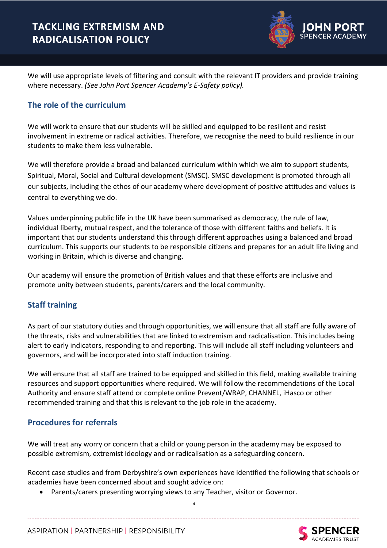

We will use appropriate levels of filtering and consult with the relevant IT providers and provide training where necessary. *(See John Port Spencer Academy's E-Safety policy).* 

# **The role of the curriculum**

We will work to ensure that our students will be skilled and equipped to be resilient and resist involvement in extreme or radical activities. Therefore, we recognise the need to build resilience in our students to make them less vulnerable.

We will therefore provide a broad and balanced curriculum within which we aim to support students, Spiritual, Moral, Social and Cultural development (SMSC). SMSC development is promoted through all our subjects, including the ethos of our academy where development of positive attitudes and values is central to everything we do.

Values underpinning public life in the UK have been summarised as democracy, the rule of law, individual liberty, mutual respect, and the tolerance of those with different faiths and beliefs. It is important that our students understand this through different approaches using a balanced and broad curriculum. This supports our students to be responsible citizens and prepares for an adult life living and working in Britain, which is diverse and changing.

Our academy will ensure the promotion of British values and that these efforts are inclusive and promote unity between students, parents/carers and the local community.

# **Staff training**

As part of our statutory duties and through opportunities, we will ensure that all staff are fully aware of the threats, risks and vulnerabilities that are linked to extremism and radicalisation. This includes being alert to early indicators, responding to and reporting. This will include all staff including volunteers and governors, and will be incorporated into staff induction training.

We will ensure that all staff are trained to be equipped and skilled in this field, making available training resources and support opportunities where required. We will follow the recommendations of the Local Authority and ensure staff attend or complete online Prevent/WRAP, CHANNEL, iHasco or other recommended training and that this is relevant to the job role in the academy.

## **Procedures for referrals**

We will treat any worry or concern that a child or young person in the academy may be exposed to possible extremism, extremist ideology and or radicalisation as a safeguarding concern.

Recent case studies and from Derbyshire's own experiences have identified the following that schools or academies have been concerned about and sought advice on:

**4**

• Parents/carers presenting worrying views to any Teacher, visitor or Governor.

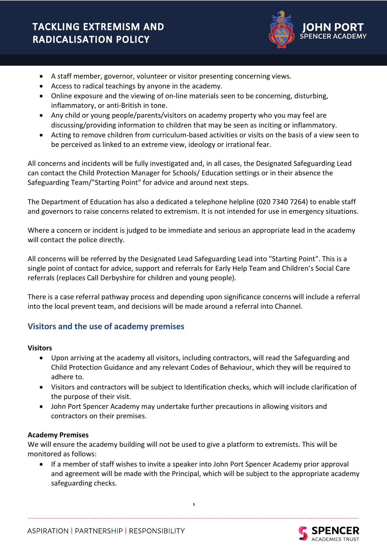

- A staff member, governor, volunteer or visitor presenting concerning views.
- Access to radical teachings by anyone in the academy.
- Online exposure and the viewing of on-line materials seen to be concerning, disturbing, inflammatory, or anti-British in tone.
- Any child or young people/parents/visitors on academy property who you may feel are discussing/providing information to children that may be seen as inciting or inflammatory.
- Acting to remove children from curriculum-based activities or visits on the basis of a view seen to be perceived as linked to an extreme view, ideology or irrational fear.

All concerns and incidents will be fully investigated and, in all cases, the Designated Safeguarding Lead can contact the Child Protection Manager for Schools/ Education settings or in their absence the Safeguarding Team/"Starting Point" for advice and around next steps.

The Department of Education has also a dedicated a telephone helpline (020 7340 7264) to enable staff and governors to raise concerns related to extremism. It is not intended for use in emergency situations.

Where a concern or incident is judged to be immediate and serious an appropriate lead in the academy will contact the police directly.

All concerns will be referred by the Designated Lead Safeguarding Lead into "Starting Point". This is a single point of contact for advice, support and referrals for Early Help Team and Children's Social Care referrals (replaces Call Derbyshire for children and young people).

There is a case referral pathway process and depending upon significance concerns will include a referral into the local prevent team, and decisions will be made around a referral into Channel.

## **Visitors and the use of academy premises**

#### **Visitors**

- Upon arriving at the academy all visitors, including contractors, will read the Safeguarding and Child Protection Guidance and any relevant Codes of Behaviour, which they will be required to adhere to.
- Visitors and contractors will be subject to Identification checks, which will include clarification of the purpose of their visit.
- John Port Spencer Academy may undertake further precautions in allowing visitors and contractors on their premises.

#### **Academy Premises**

We will ensure the academy building will not be used to give a platform to extremists. This will be monitored as follows:

• If a member of staff wishes to invite a speaker into John Port Spencer Academy prior approval and agreement will be made with the Principal, which will be subject to the appropriate academy safeguarding checks.

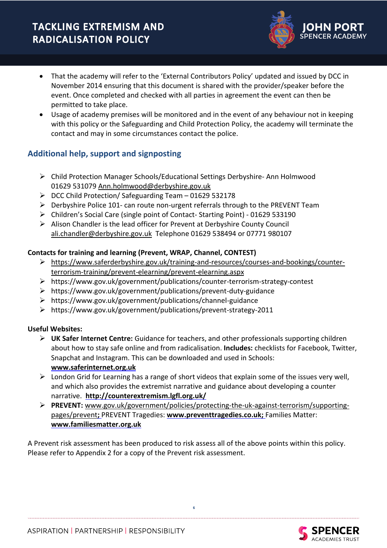- That the academy will refer to the 'External Contributors Policy' updated and issued by DCC in November 2014 ensuring that this document is shared with the provider/speaker before the event. Once completed and checked with all parties in agreement the event can then be permitted to take place.
- Usage of academy premises will be monitored and in the event of any behaviour not in keeping with this policy or the Safeguarding and Child Protection Policy, the academy will terminate the contact and may in some circumstances contact the police.

# **Additional help, support and signposting**

- ➢ Child Protection Manager Schools/Educational Settings Derbyshire- Ann Holmwood 01629 531079 [Ann.holmwood@derbyshire.gov.uk](mailto:Ann.holmwood@derbyshire.gov.uk)
- ➢ DCC Child Protection/ Safeguarding Team 01629 532178
- $\triangleright$  Derbyshire Police 101- can route non-urgent referrals through to the PREVENT Team
- ➢ Children's Social Care (single point of Contact- Starting Point) 01629 533190
- ➢ Alison Chandler is the lead officer for Prevent at Derbyshire County Council [ali.chandler@derbyshire.gov.uk](mailto:ali.chandler@derbyshire.gov.uk) Telephone 01629 538494 or 07771 980107

#### **Contacts for training and learning (Prevent, WRAP, Channel, CONTEST)**

- ➢ [https://www.saferderbyshire.gov.uk/training-and-resources/courses-and-bookings/counter](https://www.saferderbyshire.gov.uk/training-and-resources/courses-and-bookings/counter-terrorism-training/prevent-elearning/prevent-elearning.aspx)[terrorism-training/prevent-elearning/prevent-elearning.aspx](https://www.saferderbyshire.gov.uk/training-and-resources/courses-and-bookings/counter-terrorism-training/prevent-elearning/prevent-elearning.aspx)
- ➢ <https://www.gov.uk/government/publications/counter-terrorism-strategy-contest>
- ➢ <https://www.gov.uk/government/publications/prevent-duty-guidance>
- ➢ <https://www.gov.uk/government/publications/channel-guidance>
- ➢ <https://www.gov.uk/government/publications/prevent-strategy-2011>

#### **Useful Websites:**

- ➢ **UK Safer Internet Centre:** Guidance for teachers, and other professionals supporting children about how to stay safe online and from radicalisation. **Includes:** checklists for Facebook, Twitter, Snapchat and Instagram. This can be downloaded and used in Schools: **[www.saferinternet.org.uk](http://www.saferinternet.org.uk/)**
- $\triangleright$  London Grid for Learning has a range of short videos that explain some of the issues very well, and which also provides the extremist narrative and guidance about developing a counter narrative. **<http://counterextremism.lgfl.org.uk/>**
- ➢ **PREVENT:** [www.gov.uk/government/policies/protecting-the-uk-against-terrorism/supporting](http://www.gov.uk/government/policies/protecting-the-uk-against-terrorism/supporting-pages/prevent)[pages/prevent](http://www.gov.uk/government/policies/protecting-the-uk-against-terrorism/supporting-pages/prevent)**;** PREVENT Tragedies: **[www.preventtragedies.co.uk;](http://www.preventtragedies.co.uk/)** Families Matter: **[www.familiesmatter.org.uk](http://www.familiesmatter.org.uk/)**

A Prevent risk assessment has been produced to risk assess all of the above points within this policy. Please refer to Appendix 2 for a copy of the Prevent risk assessment.

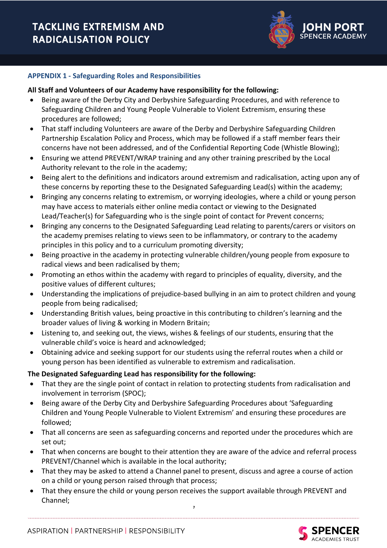

#### **APPENDIX 1 - Safeguarding Roles and Responsibilities**

#### **All Staff and Volunteers of our Academy have responsibility for the following:**

- Being aware of the Derby City and Derbyshire Safeguarding Procedures, and with reference to Safeguarding Children and Young People Vulnerable to Violent Extremism, ensuring these procedures are followed;
- That staff including Volunteers are aware of the Derby and Derbyshire Safeguarding Children Partnership Escalation Policy and Process, which may be followed if a staff member fears their concerns have not been addressed, and of the Confidential Reporting Code (Whistle Blowing);
- Ensuring we attend PREVENT/WRAP training and any other training prescribed by the Local Authority relevant to the role in the academy;
- Being alert to the definitions and indicators around extremism and radicalisation, acting upon any of these concerns by reporting these to the Designated Safeguarding Lead(s) within the academy;
- Bringing any concerns relating to extremism, or worrying ideologies, where a child or young person may have access to materials either online media contact or viewing to the Designated Lead/Teacher(s) for Safeguarding who is the single point of contact for Prevent concerns;
- Bringing any concerns to the Designated Safeguarding Lead relating to parents/carers or visitors on the academy premises relating to views seen to be inflammatory, or contrary to the academy principles in this policy and to a curriculum promoting diversity;
- Being proactive in the academy in protecting vulnerable children/young people from exposure to radical views and been radicalised by them;
- Promoting an ethos within the academy with regard to principles of equality, diversity, and the positive values of different cultures;
- Understanding the implications of prejudice-based bullying in an aim to protect children and young people from being radicalised;
- Understanding British values, being proactive in this contributing to children's learning and the broader values of living & working in Modern Britain;
- Listening to, and seeking out, the views, wishes & feelings of our students, ensuring that the vulnerable child's voice is heard and acknowledged;
- Obtaining advice and seeking support for our students using the referral routes when a child or young person has been identified as vulnerable to extremism and radicalisation.

#### **The Designated Safeguarding Lead has responsibility for the following:**

- That they are the single point of contact in relation to protecting students from radicalisation and involvement in terrorism (SPOC);
- Being aware of the Derby City and Derbyshire Safeguarding Procedures about 'Safeguarding Children and Young People Vulnerable to Violent Extremism' and ensuring these procedures are followed;
- That all concerns are seen as safeguarding concerns and reported under the procedures which are set out;
- That when concerns are bought to their attention they are aware of the advice and referral process PREVENT/Channel which is available in the local authority;
- That they may be asked to attend a Channel panel to present, discuss and agree a course of action on a child or young person raised through that process;
- That they ensure the child or young person receives the support available through PREVENT and Channel;

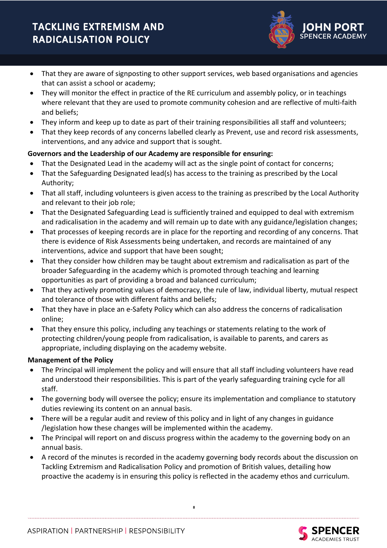

- That they are aware of signposting to other support services, web based organisations and agencies that can assist a school or academy;
- They will monitor the effect in practice of the RE curriculum and assembly policy, or in teachings where relevant that they are used to promote community cohesion and are reflective of multi-faith and beliefs;
- They inform and keep up to date as part of their training responsibilities all staff and volunteers;
- That they keep records of any concerns labelled clearly as Prevent, use and record risk assessments, interventions, and any advice and support that is sought.

### **Governors and the Leadership of our Academy are responsible for ensuring:**

- That the Designated Lead in the academy will act as the single point of contact for concerns;
- That the Safeguarding Designated lead(s) has access to the training as prescribed by the Local Authority;
- That all staff, including volunteers is given access to the training as prescribed by the Local Authority and relevant to their job role;
- That the Designated Safeguarding Lead is sufficiently trained and equipped to deal with extremism and radicalisation in the academy and will remain up to date with any guidance/legislation changes;
- That processes of keeping records are in place for the reporting and recording of any concerns. That there is evidence of Risk Assessments being undertaken, and records are maintained of any interventions, advice and support that have been sought;
- That they consider how children may be taught about extremism and radicalisation as part of the broader Safeguarding in the academy which is promoted through teaching and learning opportunities as part of providing a broad and balanced curriculum;
- That they actively promoting values of democracy, the rule of law, individual liberty, mutual respect and tolerance of those with different faiths and beliefs;
- That they have in place an e-Safety Policy which can also address the concerns of radicalisation online;
- That they ensure this policy, including any teachings or statements relating to the work of protecting children/young people from radicalisation, is available to parents, and carers as appropriate, including displaying on the academy website.

#### **Management of the Policy**

- The Principal will implement the policy and will ensure that all staff including volunteers have read and understood their responsibilities. This is part of the yearly safeguarding training cycle for all staff.
- The governing body will oversee the policy; ensure its implementation and compliance to statutory duties reviewing its content on an annual basis.
- There will be a regular audit and review of this policy and in light of any changes in guidance /legislation how these changes will be implemented within the academy.
- The Principal will report on and discuss progress within the academy to the governing body on an annual basis.
- A record of the minutes is recorded in the academy governing body records about the discussion on Tackling Extremism and Radicalisation Policy and promotion of British values, detailing how proactive the academy is in ensuring this policy is reflected in the academy ethos and curriculum.

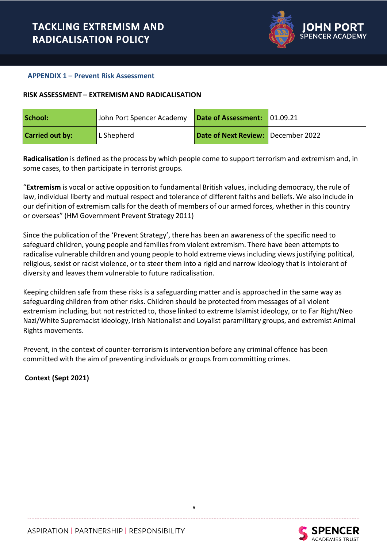

#### **APPENDIX 1 – Prevent Risk Assessment**

#### **RISK ASSESSMENT – EXTREMISM AND RADICALISATION**

| School:                | John Port Spencer Academy   Date of Assessment: 01.09.21 |                                    |  |
|------------------------|----------------------------------------------------------|------------------------------------|--|
| <b>Carried out by:</b> | L Shepherd                                               | Date of Next Review: December 2022 |  |

**Radicalisation** is defined as the process by which people come to support terrorism and extremism and, in some cases, to then participate in terrorist groups.

"**Extremism** is vocal or active opposition to fundamental British values, including democracy, the rule of law, individual liberty and mutual respect and tolerance of different faiths and beliefs. We also include in our definition of extremism calls for the death of members of our armed forces, whether in this country or overseas" (HM Government Prevent Strategy 2011)

Since the publication of the '[Prevent](http://trixresources.proceduresonline.com/nat_key/keywords/a_prevent.html) Strategy', there has been an awareness of the specific need to safeguard children, young people and families from violent extremism. There have been attempts to radicalise vulnerable children and young people to hold extreme views including views justifying political, religious, sexist or racist violence, or to steer them into a rigid and narrow ideology that is intolerant of diversity and leaves them vulnerable to future radicalisation.

Keeping children safe from these risks is a safeguarding matter and is approached in the same way as safeguarding children from other risks. Children should be protected from messages of all violent extremism including, but not restricted to, those linked to extreme Islamist ideology, or to Far Right/Neo Nazi/White Supremacist ideology, Irish Nationalist and Loyalist paramilitary groups, and extremist Animal Rights movements.

**9**

Prevent, in the context of counter-terrorism is intervention before any criminal offence has been committed with the aim of preventing individuals or groups from committing crimes.

**Context (Sept 2021)**

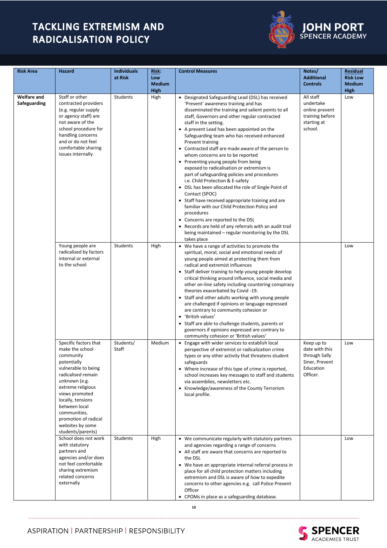

# **JOHN PORT**<br>SPENCER ACADEMY

| <b>Risk Area</b>                   | Hazard                                                                                                                                                                                                                                                                                           | <b>Individuals</b><br>at Risk | Risk:<br>Low<br><b>Medium</b><br>High | <b>Control Measures</b>                                                                                                                                                                                                                                                                                                                                                                                                                                                                                                                                                                                                                                                                                                                                                                                                                                                                                                                                                           | Notes/<br><b>Additional</b><br><b>Controls</b>                                           | <b>Residual</b><br><b>Risk Low</b><br><b>Medium</b><br><b>High</b> |
|------------------------------------|--------------------------------------------------------------------------------------------------------------------------------------------------------------------------------------------------------------------------------------------------------------------------------------------------|-------------------------------|---------------------------------------|-----------------------------------------------------------------------------------------------------------------------------------------------------------------------------------------------------------------------------------------------------------------------------------------------------------------------------------------------------------------------------------------------------------------------------------------------------------------------------------------------------------------------------------------------------------------------------------------------------------------------------------------------------------------------------------------------------------------------------------------------------------------------------------------------------------------------------------------------------------------------------------------------------------------------------------------------------------------------------------|------------------------------------------------------------------------------------------|--------------------------------------------------------------------|
| <b>Welfare and</b><br>Safeguarding | Staff or other<br>contracted providers<br>(e.g. regular supply<br>or agency staff) are<br>not aware of the<br>school procedure for<br>handling concerns<br>and or do not feel<br>comfortable sharing<br>issues internally                                                                        | Students                      | High                                  | • Designated Safeguarding Lead (DSL) has received<br>'Prevent' awareness training and has<br>disseminated the training and salient points to all<br>staff, Governors and other regular contracted<br>staff in the setting.<br>• A prevent Lead has been appointed on the<br>Safeguarding team who has received enhanced<br>Prevent training<br>• Contracted staff are made aware of the person to<br>whom concerns are to be reported<br>• Preventing young people from being<br>exposed to radicalisation or extremism is<br>part of safeguarding policies and procedures<br>i.e. Child Protection & E-safety<br>• DSL has been allocated the role of Single Point of<br>Contact (SPOC)<br>• Staff have received appropriate training and are<br>familiar with our Child Protection Policy and<br>procedures<br>• Concerns are reported to the DSL<br>• Records are held of any referrals with an audit trail<br>being maintained – regular monitoring by the DSL<br>takes place | All staff<br>undertake<br>online prevent<br>training before<br>starting at<br>school.    | Low                                                                |
|                                    | Young people are<br>radicalised by factors<br>internal or external<br>to the school                                                                                                                                                                                                              | Students                      | High                                  | • We have a range of activities to promote the<br>spiritual, moral, social and emotional needs of<br>young people aimed at protecting them from<br>radical and extremist influences<br>• Staff deliver training to help young people develop<br>critical thinking around influence, social media and<br>other on-line safety including countering conspiracy<br>theories exacerbated by Covid -19.<br>• Staff and other adults working with young people<br>are challenged if opinions or language expressed<br>are contrary to community cohesion or<br>• 'British values'<br>• Staff are able to challenge students, parents or<br>governors if opinions expressed are contrary to<br>community cohesion or 'British values'                                                                                                                                                                                                                                                    |                                                                                          | Low                                                                |
|                                    | Specific factors that<br>make the school<br>community<br>potentially<br>vulnerable to being<br>radicalised remain<br>unknown (e.g.<br>extreme religious<br>views promoted<br>locally, tensions<br>between local<br>communities,<br>promotion of radical<br>websites by some<br>students/parents) | Students/<br>Staff            | Medium                                | • Engage with wider services to establish local<br>perspective of extremist or radicalization crime<br>types or any other activity that threatens student<br>safeguards<br>• Where increase of this type of crime is reported,<br>school increases key messages to staff and students<br>via assemblies, newsletters etc.<br>• Knowledge/awareness of the County Terrorism<br>local profile.                                                                                                                                                                                                                                                                                                                                                                                                                                                                                                                                                                                      | Keep up to<br>date with this<br>through Sally<br>Siner, Prevent<br>Education<br>Officer. | Low                                                                |
|                                    | School does not work<br>with statutory<br>partners and<br>agencies and/or does<br>not feel comfortable<br>sharing extremism<br>related concerns<br>externally                                                                                                                                    | Students                      | High                                  | • We communicate regularly with statutory partners<br>and agencies regarding a range of concerns<br>• All staff are aware that concerns are reported to<br>the DSL<br>• We have an appropriate internal referral process in<br>place for all child protection matters including<br>extremism and DSL is aware of how to expedite<br>concerns to other agencies e.g. call Police Prevent<br>Officer<br>• CPOMs in place as a safeguarding database.                                                                                                                                                                                                                                                                                                                                                                                                                                                                                                                                |                                                                                          | Low                                                                |



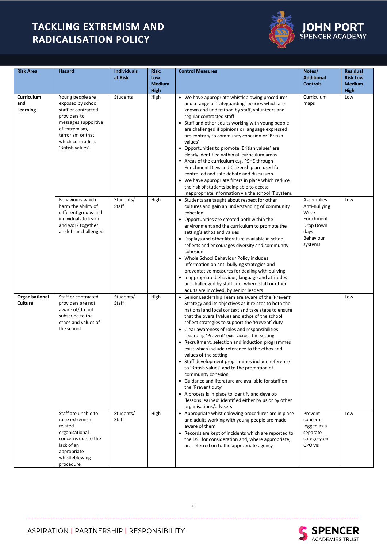

| <b>JOHN PORT</b>      |  |
|-----------------------|--|
| <b>SPENCER ACADEM</b> |  |

.<br>IY

| <b>Risk Area</b>              | Hazard                                                                                                                                                                             | <b>Individuals</b><br>at Risk | Risk:<br>Low<br><b>Medium</b><br><b>High</b> | <b>Control Measures</b>                                                                                                                                                                                                                                                                                                                                                                                                                                                                                                                                                                                                                                                                                                                                                                                                                                    | Notes/<br><b>Additional</b><br><b>Controls</b>                                                 | <b>Residual</b><br><b>Risk Low</b><br><b>Medium</b><br>High |
|-------------------------------|------------------------------------------------------------------------------------------------------------------------------------------------------------------------------------|-------------------------------|----------------------------------------------|------------------------------------------------------------------------------------------------------------------------------------------------------------------------------------------------------------------------------------------------------------------------------------------------------------------------------------------------------------------------------------------------------------------------------------------------------------------------------------------------------------------------------------------------------------------------------------------------------------------------------------------------------------------------------------------------------------------------------------------------------------------------------------------------------------------------------------------------------------|------------------------------------------------------------------------------------------------|-------------------------------------------------------------|
| Curriculum<br>and<br>Learning | Young people are<br>exposed by school<br>staff or contracted<br>providers to<br>messages supportive<br>of extremism,<br>terrorism or that<br>which contradicts<br>'British values' | Students                      | High                                         | • We have appropriate whistleblowing procedures<br>and a range of 'safeguarding' policies which are<br>known and understood by staff, volunteers and<br>regular contracted staff<br>• Staff and other adults working with young people<br>are challenged if opinions or language expressed<br>are contrary to community cohesion or 'British<br>values'<br>• Opportunities to promote 'British values' are<br>clearly identified within all curriculum areas<br>• Areas of the curriculum e.g. PSHE through<br>Enrichment Days and Citizenship are used for<br>controlled and safe debate and discussion<br>• We have appropriate filters in place which reduce<br>the risk of students being able to access<br>inappropriate information via the school IT system.                                                                                        | Curriculum<br>maps                                                                             | Low                                                         |
|                               | Behaviours which<br>harm the ability of<br>different groups and<br>individuals to learn<br>and work together<br>are left unchallenged                                              | Students/<br>Staff            | High                                         | • Students are taught about respect for other<br>cultures and gain an understanding of community<br>cohesion<br>• Opportunities are created both within the<br>environment and the curriculum to promote the<br>setting's ethos and values<br>• Displays and other literature available in school<br>reflects and encourages diversity and community<br>cohesion<br>• Whole School Behaviour Policy includes<br>information on anti-bullying strategies and<br>preventative measures for dealing with bullying<br>• Inappropriate behaviour, language and attitudes<br>are challenged by staff and, where staff or other<br>adults are involved, by senior leaders                                                                                                                                                                                         | Assemblies<br>Anti-Bullying<br>Week<br>Enrichment<br>Drop Down<br>days<br>Behaviour<br>systems | Low                                                         |
| Organisational<br>Culture     | Staff or contracted<br>providers are not<br>aware of/do not<br>subscribe to the<br>ethos and values of<br>the school                                                               | Students/<br>Staff            | High                                         | • Senior Leadership Team are aware of the 'Prevent'<br>Strategy and its objectives as it relates to both the<br>national and local context and take steps to ensure<br>that the overall values and ethos of the school<br>reflect strategies to support the 'Prevent' duty<br>• Clear awareness of roles and responsibilities<br>regarding 'Prevent' exist across the setting<br>• Recruitment, selection and induction programmes<br>exist which include reference to the ethos and<br>values of the setting<br>• Staff development programmes include reference<br>to 'British values' and to the promotion of<br>community cohesion<br>• Guidance and literature are available for staff on<br>the 'Prevent duty'<br>• A process is in place to identify and develop<br>'lessons learned' identified either by us or by other<br>organisations/advisers |                                                                                                | Low                                                         |
|                               | Staff are unable to<br>raise extremism<br>related<br>organisational<br>concerns due to the<br>lack of an<br>appropriate<br>whistleblowing<br>procedure                             | Students/<br>Staff            | High                                         | • Appropriate whistleblowing procedures are in place<br>and adults working with young people are made<br>aware of them<br>• Records are kept of incidents which are reported to<br>the DSL for consideration and, where appropriate,<br>are referred on to the appropriate agency                                                                                                                                                                                                                                                                                                                                                                                                                                                                                                                                                                          | Prevent<br>concerns<br>logged as a<br>separate<br>category on<br><b>CPOMs</b>                  | Low                                                         |